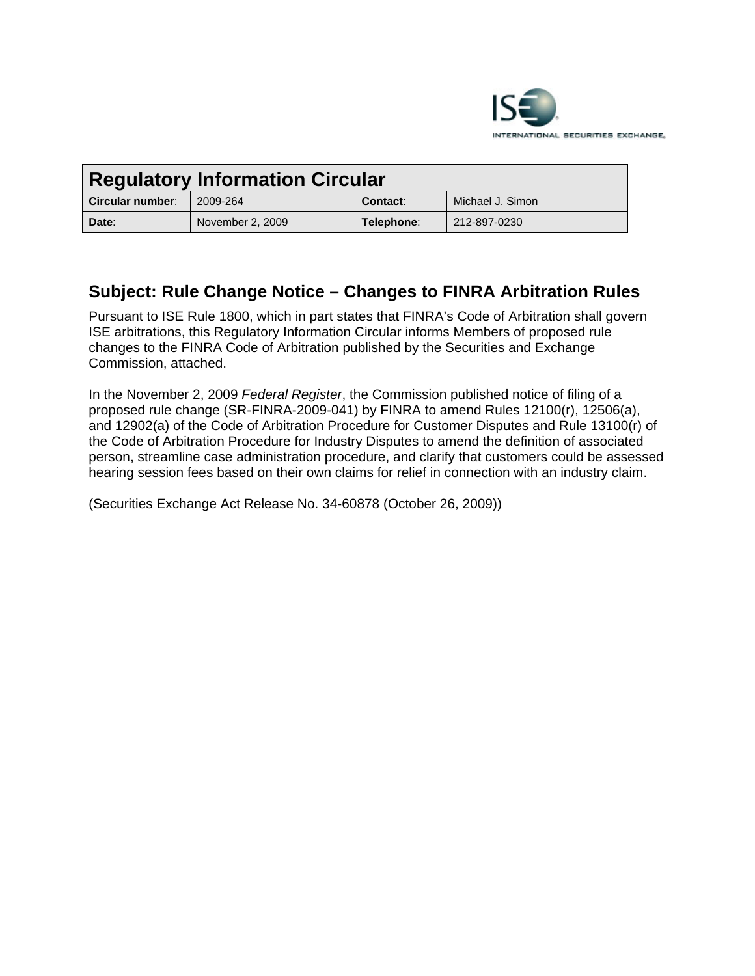

| <b>Regulatory Information Circular</b> |                  |            |                  |
|----------------------------------------|------------------|------------|------------------|
| Circular number:                       | 2009-264         | Contact:   | Michael J. Simon |
| Date:                                  | November 2, 2009 | Telephone: | 212-897-0230     |

# **Subject: Rule Change Notice – Changes to FINRA Arbitration Rules**

Pursuant to ISE Rule 1800, which in part states that FINRA's Code of Arbitration shall govern ISE arbitrations, this Regulatory Information Circular informs Members of proposed rule changes to the FINRA Code of Arbitration published by the Securities and Exchange Commission, attached.

In the November 2, 2009 *Federal Register*, the Commission published notice of filing of a proposed rule change (SR-FINRA-2009-041) by FINRA to amend Rules 12100(r), 12506(a), and 12902(a) of the Code of Arbitration Procedure for Customer Disputes and Rule 13100(r) of the Code of Arbitration Procedure for Industry Disputes to amend the definition of associated person, streamline case administration procedure, and clarify that customers could be assessed hearing session fees based on their own claims for relief in connection with an industry claim.

(Securities Exchange Act Release No. 34-60878 (October 26, 2009))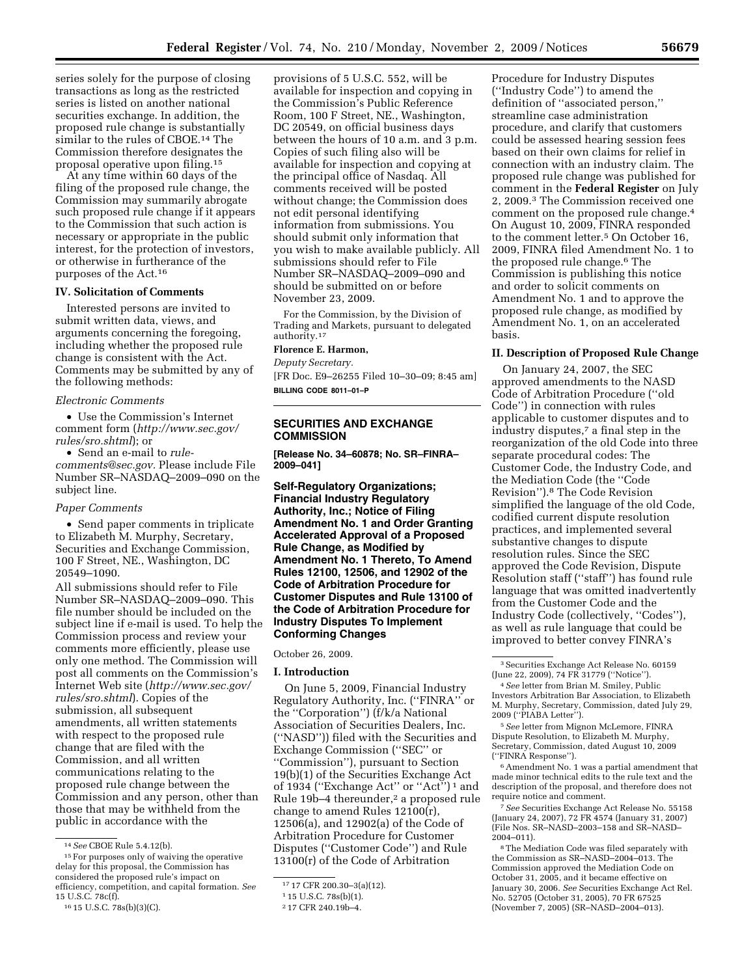series solely for the purpose of closing transactions as long as the restricted series is listed on another national securities exchange. In addition, the proposed rule change is substantially similar to the rules of CBOE.<sup>14</sup> The Commission therefore designates the proposal operative upon filing.15

At any time within 60 days of the filing of the proposed rule change, the Commission may summarily abrogate such proposed rule change if it appears to the Commission that such action is necessary or appropriate in the public interest, for the protection of investors, or otherwise in furtherance of the purposes of the Act.16

## **IV. Solicitation of Comments**

Interested persons are invited to submit written data, views, and arguments concerning the foregoing, including whether the proposed rule change is consistent with the Act. Comments may be submitted by any of the following methods:

#### *Electronic Comments*

• Use the Commission's Internet comment form (*http://www.sec.gov/ rules/sro.shtml*); or

• Send an e-mail to *rulecomments@sec.gov.* Please include File Number SR–NASDAQ–2009–090 on the subject line.

#### *Paper Comments*

• Send paper comments in triplicate to Elizabeth M. Murphy, Secretary, Securities and Exchange Commission, 100 F Street, NE., Washington, DC 20549–1090.

All submissions should refer to File Number SR–NASDAQ–2009–090. This file number should be included on the subject line if e-mail is used. To help the Commission process and review your comments more efficiently, please use only one method. The Commission will post all comments on the Commission's Internet Web site (*http://www.sec.gov/ rules/sro.shtml*). Copies of the submission, all subsequent amendments, all written statements with respect to the proposed rule change that are filed with the Commission, and all written communications relating to the proposed rule change between the Commission and any person, other than those that may be withheld from the public in accordance with the

provisions of 5 U.S.C. 552, will be available for inspection and copying in the Commission's Public Reference Room, 100 F Street, NE., Washington, DC 20549, on official business days between the hours of 10 a.m. and 3 p.m. Copies of such filing also will be available for inspection and copying at the principal office of Nasdaq. All comments received will be posted without change; the Commission does not edit personal identifying information from submissions. You should submit only information that you wish to make available publicly. All submissions should refer to File Number SR–NASDAQ–2009–090 and should be submitted on or before November 23, 2009.

For the Commission, by the Division of Trading and Markets, pursuant to delegated authority.17

# **Florence E. Harmon,**

*Deputy Secretary.*  [FR Doc. E9–26255 Filed 10–30–09; 8:45 am] **BILLING CODE 8011–01–P** 

# **SECURITIES AND EXCHANGE COMMISSION**

**[Release No. 34–60878; No. SR–FINRA– 2009–041]** 

**Self-Regulatory Organizations; Financial Industry Regulatory Authority, Inc.; Notice of Filing Amendment No. 1 and Order Granting Accelerated Approval of a Proposed Rule Change, as Modified by Amendment No. 1 Thereto, To Amend Rules 12100, 12506, and 12902 of the Code of Arbitration Procedure for Customer Disputes and Rule 13100 of the Code of Arbitration Procedure for Industry Disputes To Implement Conforming Changes** 

October 26, 2009.

#### **I. Introduction**

On June 5, 2009, Financial Industry Regulatory Authority, Inc. (''FINRA'' or the ''Corporation'') (f/k/a National Association of Securities Dealers, Inc. (''NASD'')) filed with the Securities and Exchange Commission (''SEC'' or ''Commission''), pursuant to Section 19(b)(1) of the Securities Exchange Act of 1934 (''Exchange Act'' or ''Act'') 1 and Rule 19b–4 thereunder,2 a proposed rule change to amend Rules 12100(r), 12506(a), and 12902(a) of the Code of Arbitration Procedure for Customer Disputes (''Customer Code'') and Rule 13100(r) of the Code of Arbitration

Procedure for Industry Disputes (''Industry Code'') to amend the definition of ''associated person,'' streamline case administration procedure, and clarify that customers could be assessed hearing session fees based on their own claims for relief in connection with an industry claim. The proposed rule change was published for comment in the **Federal Register** on July 2, 2009.3 The Commission received one comment on the proposed rule change.4 On August 10, 2009, FINRA responded to the comment letter.5 On October 16, 2009, FINRA filed Amendment No. 1 to the proposed rule change.6 The Commission is publishing this notice and order to solicit comments on Amendment No. 1 and to approve the proposed rule change, as modified by Amendment No. 1, on an accelerated basis.

#### **II. Description of Proposed Rule Change**

On January 24, 2007, the SEC approved amendments to the NASD Code of Arbitration Procedure (''old Code'') in connection with rules applicable to customer disputes and to industry disputes,7 a final step in the reorganization of the old Code into three separate procedural codes: The Customer Code, the Industry Code, and the Mediation Code (the ''Code Revision'').8 The Code Revision simplified the language of the old Code, codified current dispute resolution practices, and implemented several substantive changes to dispute resolution rules. Since the SEC approved the Code Revision, Dispute Resolution staff (''staff'') has found rule language that was omitted inadvertently from the Customer Code and the Industry Code (collectively, ''Codes''), as well as rule language that could be improved to better convey FINRA's

5*See* letter from Mignon McLemore, FINRA Dispute Resolution, to Elizabeth M. Murphy, Secretary, Commission, dated August 10, 2009 (''FINRA Response'').

6Amendment No. 1 was a partial amendment that made minor technical edits to the rule text and the description of the proposal, and therefore does not require notice and comment.

7*See* Securities Exchange Act Release No. 55158 (January 24, 2007), 72 FR 4574 (January 31, 2007) (File Nos. SR–NASD–2003–158 and SR–NASD– 2004–011).

8The Mediation Code was filed separately with the Commission as SR–NASD–2004–013. The Commission approved the Mediation Code on October 31, 2005, and it became effective on January 30, 2006. *See* Securities Exchange Act Rel. No. 52705 (October 31, 2005), 70 FR 67525 (November 7, 2005) (SR–NASD–2004–013).

<sup>14</sup>*See* CBOE Rule 5.4.12(b).

<sup>15</sup>For purposes only of waiving the operative delay for this proposal, the Commission has considered the proposed rule's impact on efficiency, competition, and capital formation. *See*  15 U.S.C. 78c(f).

<sup>16</sup> 15 U.S.C. 78s(b)(3)(C).

<sup>17</sup> 17 CFR 200.30–3(a)(12).

<sup>1</sup> 15 U.S.C. 78s(b)(1).

<sup>2</sup> 17 CFR 240.19b–4.

<sup>3</sup>Securities Exchange Act Release No. 60159 (June 22, 2009), 74 FR 31779 (''Notice'').

<sup>4</sup>*See* letter from Brian M. Smiley, Public Investors Arbitration Bar Association, to Elizabeth M. Murphy, Secretary, Commission, dated July 29, 2009 (''PIABA Letter'').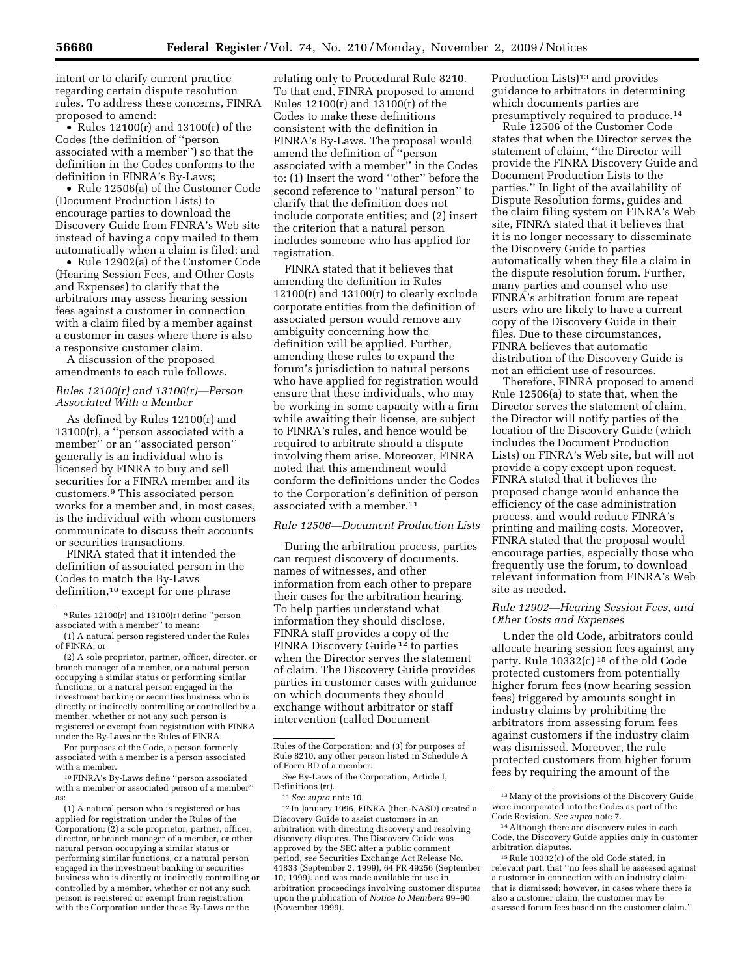intent or to clarify current practice regarding certain dispute resolution rules. To address these concerns, FINRA proposed to amend:

• Rules  $12100(r)$  and  $13100(r)$  of the Codes (the definition of ''person associated with a member'') so that the definition in the Codes conforms to the definition in FINRA's By-Laws;

• Rule 12506(a) of the Customer Code (Document Production Lists) to encourage parties to download the Discovery Guide from FINRA's Web site instead of having a copy mailed to them automatically when a claim is filed; and

• Rule 12902(a) of the Customer Code (Hearing Session Fees, and Other Costs and Expenses) to clarify that the arbitrators may assess hearing session fees against a customer in connection with a claim filed by a member against a customer in cases where there is also a responsive customer claim.

A discussion of the proposed amendments to each rule follows.

## *Rules 12100(r) and 13100(r)—Person Associated With a Member*

As defined by Rules 12100(r) and 13100(r), a ''person associated with a member'' or an ''associated person'' generally is an individual who is licensed by FINRA to buy and sell securities for a FINRA member and its customers.9 This associated person works for a member and, in most cases, is the individual with whom customers communicate to discuss their accounts or securities transactions.

FINRA stated that it intended the definition of associated person in the Codes to match the By-Laws definition,10 except for one phrase

(2) A sole proprietor, partner, officer, director, or branch manager of a member, or a natural person occupying a similar status or performing similar functions, or a natural person engaged in the investment banking or securities business who is directly or indirectly controlling or controlled by a member, whether or not any such person is registered or exempt from registration with FINRA under the By-Laws or the Rules of FINRA.

For purposes of the Code, a person formerly associated with a member is a person associated with a member.

10FINRA's By-Laws define ''person associated with a member or associated person of a member'' as:

(1) A natural person who is registered or has applied for registration under the Rules of the Corporation; (2) a sole proprietor, partner, officer, director, or branch manager of a member, or other natural person occupying a similar status or performing similar functions, or a natural person engaged in the investment banking or securities business who is directly or indirectly controlling or controlled by a member, whether or not any such person is registered or exempt from registration with the Corporation under these By-Laws or the

relating only to Procedural Rule 8210. To that end, FINRA proposed to amend Rules 12100(r) and 13100(r) of the Codes to make these definitions consistent with the definition in FINRA's By-Laws. The proposal would amend the definition of ''person associated with a member'' in the Codes to: (1) Insert the word ''other'' before the second reference to ''natural person'' to clarify that the definition does not include corporate entities; and (2) insert the criterion that a natural person includes someone who has applied for registration.

FINRA stated that it believes that amending the definition in Rules  $12100(r)$  and  $13100(r)$  to clearly exclude corporate entities from the definition of associated person would remove any ambiguity concerning how the definition will be applied. Further, amending these rules to expand the forum's jurisdiction to natural persons who have applied for registration would ensure that these individuals, who may be working in some capacity with a firm while awaiting their license, are subject to FINRA's rules, and hence would be required to arbitrate should a dispute involving them arise. Moreover, FINRA noted that this amendment would conform the definitions under the Codes to the Corporation's definition of person associated with a member.<sup>11</sup>

## *Rule 12506—Document Production Lists*

During the arbitration process, parties can request discovery of documents, names of witnesses, and other information from each other to prepare their cases for the arbitration hearing. To help parties understand what information they should disclose, FINRA staff provides a copy of the FINRA Discovery Guide 12 to parties when the Director serves the statement of claim. The Discovery Guide provides parties in customer cases with guidance on which documents they should exchange without arbitrator or staff intervention (called Document

12 In January 1996, FINRA (then-NASD) created a Discovery Guide to assist customers in an arbitration with directing discovery and resolving discovery disputes. The Discovery Guide was approved by the SEC after a public comment period, *see* Securities Exchange Act Release No. 41833 (September 2, 1999), 64 FR 49256 (September 10, 1999). and was made available for use in arbitration proceedings involving customer disputes upon the publication of *Notice to Members* 99–90 (November 1999).

Production Lists)<sup>13</sup> and provides guidance to arbitrators in determining which documents parties are presumptively required to produce.14

Rule 12506 of the Customer Code states that when the Director serves the statement of claim, ''the Director will provide the FINRA Discovery Guide and Document Production Lists to the parties.'' In light of the availability of Dispute Resolution forms, guides and the claim filing system on FINRA's Web site, FINRA stated that it believes that it is no longer necessary to disseminate the Discovery Guide to parties automatically when they file a claim in the dispute resolution forum. Further, many parties and counsel who use FINRA's arbitration forum are repeat users who are likely to have a current copy of the Discovery Guide in their files. Due to these circumstances, FINRA believes that automatic distribution of the Discovery Guide is not an efficient use of resources.

Therefore, FINRA proposed to amend Rule 12506(a) to state that, when the Director serves the statement of claim, the Director will notify parties of the location of the Discovery Guide (which includes the Document Production Lists) on FINRA's Web site, but will not provide a copy except upon request. FINRA stated that it believes the proposed change would enhance the efficiency of the case administration process, and would reduce FINRA's printing and mailing costs. Moreover, FINRA stated that the proposal would encourage parties, especially those who frequently use the forum, to download relevant information from FINRA's Web site as needed.

## *Rule 12902—Hearing Session Fees, and Other Costs and Expenses*

Under the old Code, arbitrators could allocate hearing session fees against any party. Rule  $10332(c)$  <sup>15</sup> of the old Code protected customers from potentially higher forum fees (now hearing session fees) triggered by amounts sought in industry claims by prohibiting the arbitrators from assessing forum fees against customers if the industry claim was dismissed. Moreover, the rule protected customers from higher forum fees by requiring the amount of the

<sup>9</sup>Rules 12100(r) and 13100(r) define ''person associated with a member'' to mean:

<sup>(1)</sup> A natural person registered under the Rules of FINRA; or

Rules of the Corporation; and (3) for purposes of Rule 8210, any other person listed in Schedule A of Form BD of a member.

*See* By-Laws of the Corporation, Article I, Definitions (rr).

<sup>11</sup>*See supra* note 10.

<sup>13</sup>Many of the provisions of the Discovery Guide were incorporated into the Codes as part of the Code Revision. *See supra* note 7.

<sup>14</sup>Although there are discovery rules in each Code, the Discovery Guide applies only in customer arbitration disputes.

<sup>15</sup>Rule 10332(c) of the old Code stated, in relevant part, that ''no fees shall be assessed against a customer in connection with an industry claim that is dismissed; however, in cases where there is also a customer claim, the customer may be assessed forum fees based on the customer claim.''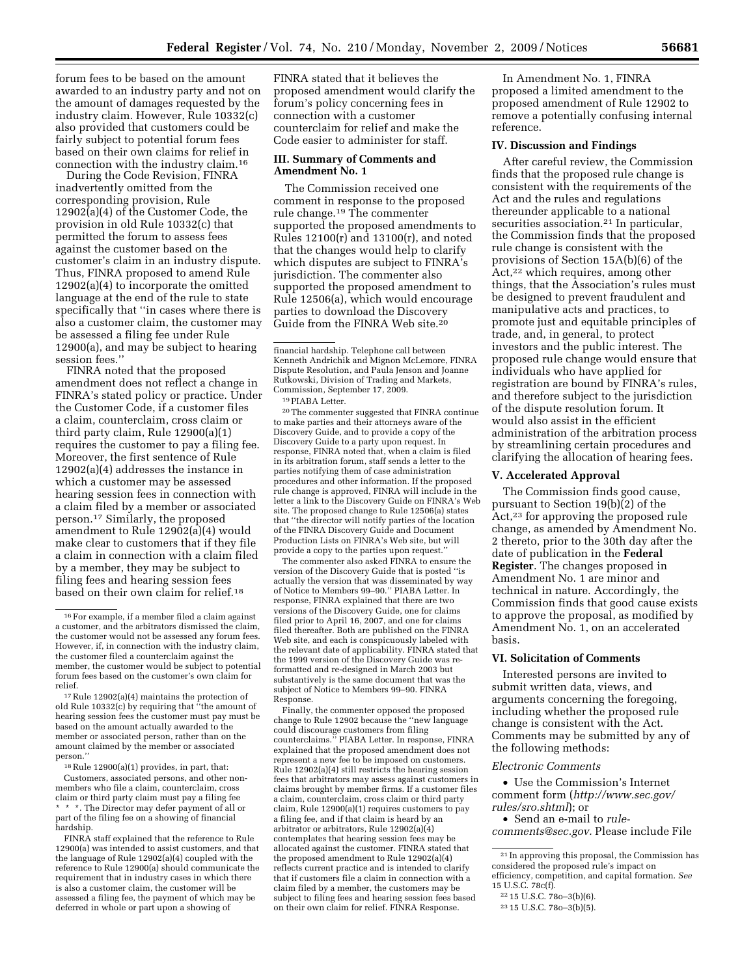forum fees to be based on the amount awarded to an industry party and not on the amount of damages requested by the industry claim. However, Rule 10332(c) also provided that customers could be fairly subject to potential forum fees based on their own claims for relief in connection with the industry claim.16

During the Code Revision, FINRA inadvertently omitted from the corresponding provision, Rule 12902(a)(4) of the Customer Code, the provision in old Rule 10332(c) that permitted the forum to assess fees against the customer based on the customer's claim in an industry dispute. Thus, FINRA proposed to amend Rule 12902(a)(4) to incorporate the omitted language at the end of the rule to state specifically that ''in cases where there is also a customer claim, the customer may be assessed a filing fee under Rule 12900(a), and may be subject to hearing session fees.''

FINRA noted that the proposed amendment does not reflect a change in FINRA's stated policy or practice. Under the Customer Code, if a customer files a claim, counterclaim, cross claim or third party claim, Rule 12900(a)(1) requires the customer to pay a filing fee. Moreover, the first sentence of Rule 12902(a)(4) addresses the instance in which a customer may be assessed hearing session fees in connection with a claim filed by a member or associated person.17 Similarly, the proposed amendment to Rule 12902(a)(4) would make clear to customers that if they file a claim in connection with a claim filed by a member, they may be subject to filing fees and hearing session fees based on their own claim for relief.18

17Rule 12902(a)(4) maintains the protection of old Rule 10332(c) by requiring that ''the amount of hearing session fees the customer must pay must be based on the amount actually awarded to the member or associated person, rather than on the amount claimed by the member or associated person.''

18Rule 12900(a)(1) provides, in part, that: Customers, associated persons, and other nonmembers who file a claim, counterclaim, cross claim or third party claim must pay a filing fee \* \* \*. The Director may defer payment of all or part of the filing fee on a showing of financial hardship.

FINRA staff explained that the reference to Rule 12900(a) was intended to assist customers, and that the language of Rule 12902(a)(4) coupled with the reference to Rule 12900(a) should communicate the requirement that in industry cases in which there is also a customer claim, the customer will be assessed a filing fee, the payment of which may be deferred in whole or part upon a showing of

FINRA stated that it believes the proposed amendment would clarify the forum's policy concerning fees in connection with a customer counterclaim for relief and make the Code easier to administer for staff.

## **III. Summary of Comments and Amendment No. 1**

The Commission received one comment in response to the proposed rule change.19 The commenter supported the proposed amendments to Rules 12100(r) and 13100(r), and noted that the changes would help to clarify which disputes are subject to FINRA's jurisdiction. The commenter also supported the proposed amendment to Rule 12506(a), which would encourage parties to download the Discovery Guide from the FINRA Web site.20

19PIABA Letter.

20The commenter suggested that FINRA continue to make parties and their attorneys aware of the Discovery Guide, and to provide a copy of the Discovery Guide to a party upon request. In response, FINRA noted that, when a claim is filed in its arbitration forum, staff sends a letter to the parties notifying them of case administration procedures and other information. If the proposed rule change is approved, FINRA will include in the letter a link to the Discovery Guide on FINRA's Web site. The proposed change to Rule 12506(a) states that ''the director will notify parties of the location of the FINRA Discovery Guide and Document Production Lists on FINRA's Web site, but will provide a copy to the parties upon request.''

The commenter also asked FINRA to ensure the version of the Discovery Guide that is posted ''is actually the version that was disseminated by way of Notice to Members 99–90.'' PIABA Letter. In response, FINRA explained that there are two versions of the Discovery Guide, one for claims filed prior to April 16, 2007, and one for claims filed thereafter. Both are published on the FINRA Web site, and each is conspicuously labeled with the relevant date of applicability. FINRA stated that the 1999 version of the Discovery Guide was reformatted and re-designed in March 2003 but substantively is the same document that was the subject of Notice to Members 99–90. FINRA Response.

Finally, the commenter opposed the proposed change to Rule 12902 because the ''new language could discourage customers from filing counterclaims.'' PIABA Letter. In response, FINRA explained that the proposed amendment does not represent a new fee to be imposed on customers. Rule 12902(a)(4) still restricts the hearing session fees that arbitrators may assess against customers in claims brought by member firms. If a customer files a claim, counterclaim, cross claim or third party claim, Rule 12900(a)(1) requires customers to pay a filing fee, and if that claim is heard by an arbitrator or arbitrators, Rule 12902(a)(4) contemplates that hearing session fees may be allocated against the customer. FINRA stated that the proposed amendment to Rule 12902(a)(4) reflects current practice and is intended to clarify that if customers file a claim in connection with a claim filed by a member, the customers may be subject to filing fees and hearing session fees based on their own claim for relief. FINRA Response.

In Amendment No. 1, FINRA proposed a limited amendment to the proposed amendment of Rule 12902 to remove a potentially confusing internal reference.

## **IV. Discussion and Findings**

After careful review, the Commission finds that the proposed rule change is consistent with the requirements of the Act and the rules and regulations thereunder applicable to a national securities association.<sup>21</sup> In particular, the Commission finds that the proposed rule change is consistent with the provisions of Section 15A(b)(6) of the Act,<sup>22</sup> which requires, among other things, that the Association's rules must be designed to prevent fraudulent and manipulative acts and practices, to promote just and equitable principles of trade, and, in general, to protect investors and the public interest. The proposed rule change would ensure that individuals who have applied for registration are bound by FINRA's rules, and therefore subject to the jurisdiction of the dispute resolution forum. It would also assist in the efficient administration of the arbitration process by streamlining certain procedures and clarifying the allocation of hearing fees.

#### **V. Accelerated Approval**

The Commission finds good cause, pursuant to Section 19(b)(2) of the Act,23 for approving the proposed rule change, as amended by Amendment No. 2 thereto, prior to the 30th day after the date of publication in the **Federal Register**. The changes proposed in Amendment No. 1 are minor and technical in nature. Accordingly, the Commission finds that good cause exists to approve the proposal, as modified by Amendment No. 1, on an accelerated basis.

# **VI. Solicitation of Comments**

Interested persons are invited to submit written data, views, and arguments concerning the foregoing, including whether the proposed rule change is consistent with the Act. Comments may be submitted by any of the following methods:

## *Electronic Comments*

• Use the Commission's Internet comment form (*http://www.sec.gov/ rules/sro.shtml*); or

• Send an e-mail to *rule-*

*comments@sec.gov.* Please include File

<sup>16</sup>For example, if a member filed a claim against a customer, and the arbitrators dismissed the claim, the customer would not be assessed any forum fees. However, if, in connection with the industry claim, the customer filed a counterclaim against the member, the customer would be subject to potential forum fees based on the customer's own claim for relief.

financial hardship. Telephone call between Kenneth Andrichik and Mignon McLemore, FINRA Dispute Resolution, and Paula Jenson and Joanne Rutkowski, Division of Trading and Markets, Commission, September 17, 2009.

<sup>21</sup> In approving this proposal, the Commission has considered the proposed rule's impact on efficiency, competition, and capital formation. *See*  15 U.S.C. 78c(f).

<sup>22</sup> 15 U.S.C. 78o–3(b)(6).

<sup>23</sup> 15 U.S.C. 78o–3(b)(5).